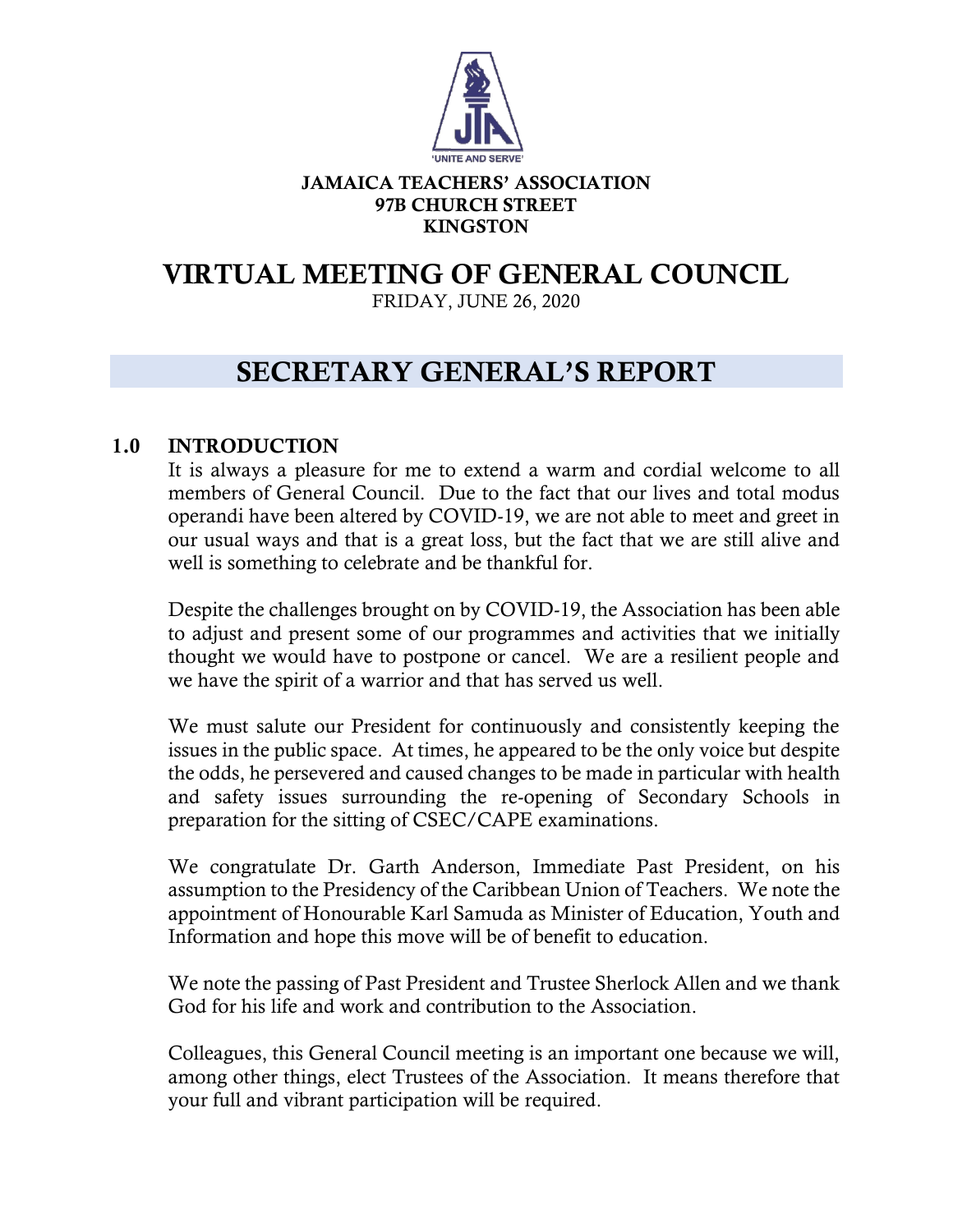

#### JAMAICA TEACHERS' ASSOCIATION 97B CHURCH STREET KINGSTON

# VIRTUAL MEETING OF GENERAL COUNCIL

FRIDAY, JUNE 26, 2020

## SECRETARY GENERAL'S REPORT

## 1.0 INTRODUCTION

It is always a pleasure for me to extend a warm and cordial welcome to all members of General Council. Due to the fact that our lives and total modus operandi have been altered by COVID-19, we are not able to meet and greet in our usual ways and that is a great loss, but the fact that we are still alive and well is something to celebrate and be thankful for.

Despite the challenges brought on by COVID-19, the Association has been able to adjust and present some of our programmes and activities that we initially thought we would have to postpone or cancel. We are a resilient people and we have the spirit of a warrior and that has served us well.

We must salute our President for continuously and consistently keeping the issues in the public space. At times, he appeared to be the only voice but despite the odds, he persevered and caused changes to be made in particular with health and safety issues surrounding the re-opening of Secondary Schools in preparation for the sitting of CSEC/CAPE examinations.

We congratulate Dr. Garth Anderson, Immediate Past President, on his assumption to the Presidency of the Caribbean Union of Teachers. We note the appointment of Honourable Karl Samuda as Minister of Education, Youth and Information and hope this move will be of benefit to education.

We note the passing of Past President and Trustee Sherlock Allen and we thank God for his life and work and contribution to the Association.

Colleagues, this General Council meeting is an important one because we will, among other things, elect Trustees of the Association. It means therefore that your full and vibrant participation will be required.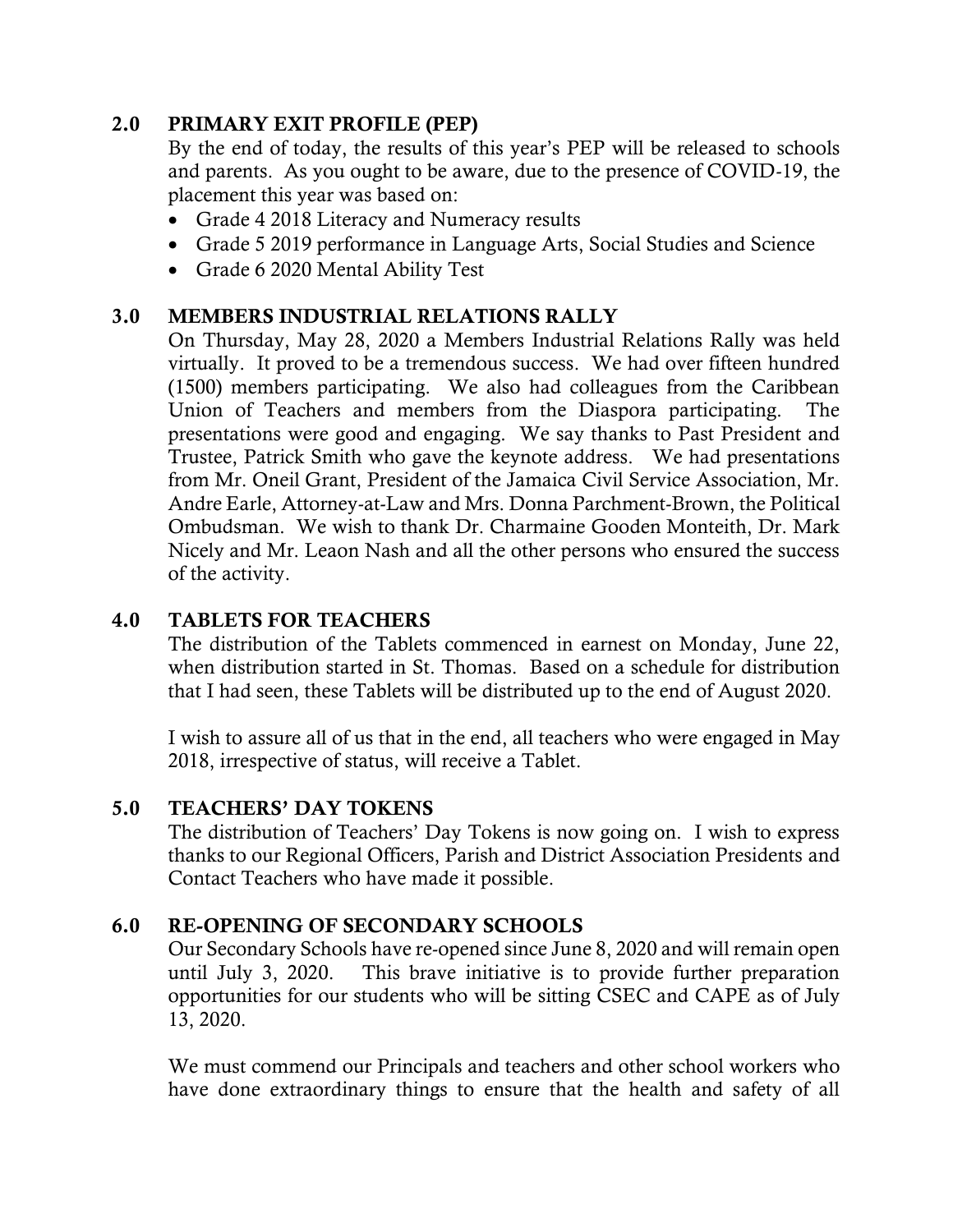## 2.0 PRIMARY EXIT PROFILE (PEP)

By the end of today, the results of this year's PEP will be released to schools and parents. As you ought to be aware, due to the presence of COVID-19, the placement this year was based on:

- Grade 4 2018 Literacy and Numeracy results
- Grade 5 2019 performance in Language Arts, Social Studies and Science
- Grade 6 2020 Mental Ability Test

## 3.0 MEMBERS INDUSTRIAL RELATIONS RALLY

On Thursday, May 28, 2020 a Members Industrial Relations Rally was held virtually. It proved to be a tremendous success. We had over fifteen hundred (1500) members participating. We also had colleagues from the Caribbean Union of Teachers and members from the Diaspora participating. The presentations were good and engaging. We say thanks to Past President and Trustee, Patrick Smith who gave the keynote address. We had presentations from Mr. Oneil Grant, President of the Jamaica Civil Service Association, Mr. Andre Earle, Attorney-at-Law and Mrs. Donna Parchment-Brown, the Political Ombudsman. We wish to thank Dr. Charmaine Gooden Monteith, Dr. Mark Nicely and Mr. Leaon Nash and all the other persons who ensured the success of the activity.

## 4.0 TABLETS FOR TEACHERS

The distribution of the Tablets commenced in earnest on Monday, June 22, when distribution started in St. Thomas. Based on a schedule for distribution that I had seen, these Tablets will be distributed up to the end of August 2020.

I wish to assure all of us that in the end, all teachers who were engaged in May 2018, irrespective of status, will receive a Tablet.

#### 5.0 TEACHERS' DAY TOKENS

The distribution of Teachers' Day Tokens is now going on. I wish to express thanks to our Regional Officers, Parish and District Association Presidents and Contact Teachers who have made it possible.

## 6.0 RE-OPENING OF SECONDARY SCHOOLS

Our Secondary Schools have re-opened since June 8, 2020 and will remain open until July 3, 2020. This brave initiative is to provide further preparation opportunities for our students who will be sitting CSEC and CAPE as of July 13, 2020.

We must commend our Principals and teachers and other school workers who have done extraordinary things to ensure that the health and safety of all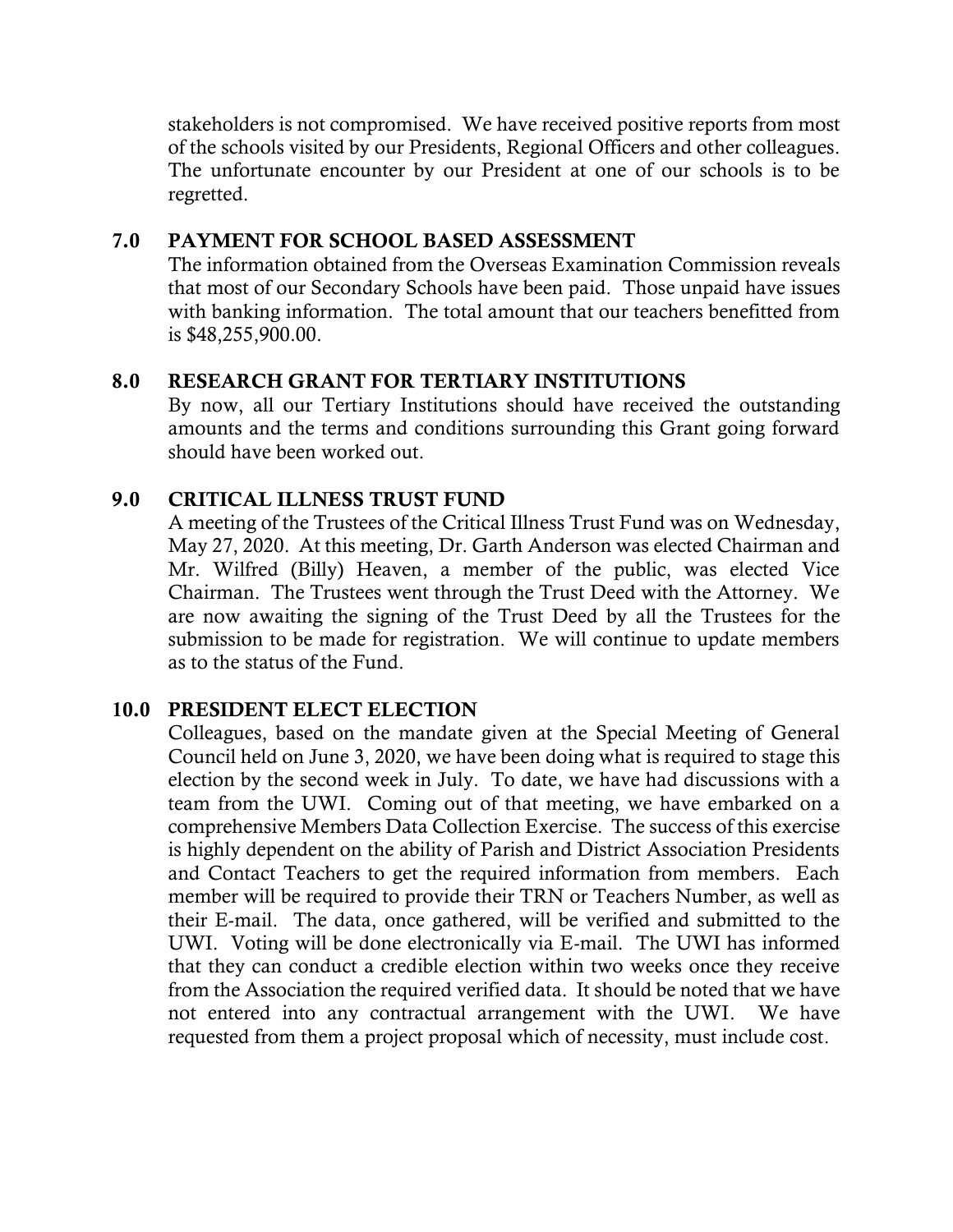stakeholders is not compromised. We have received positive reports from most of the schools visited by our Presidents, Regional Officers and other colleagues. The unfortunate encounter by our President at one of our schools is to be regretted.

## 7.0 PAYMENT FOR SCHOOL BASED ASSESSMENT

The information obtained from the Overseas Examination Commission reveals that most of our Secondary Schools have been paid. Those unpaid have issues with banking information. The total amount that our teachers benefitted from is \$48,255,900.00.

## 8.0 RESEARCH GRANT FOR TERTIARY INSTITUTIONS

By now, all our Tertiary Institutions should have received the outstanding amounts and the terms and conditions surrounding this Grant going forward should have been worked out.

## 9.0 CRITICAL ILLNESS TRUST FUND

A meeting of the Trustees of the Critical Illness Trust Fund was on Wednesday, May 27, 2020. At this meeting, Dr. Garth Anderson was elected Chairman and Mr. Wilfred (Billy) Heaven, a member of the public, was elected Vice Chairman. The Trustees went through the Trust Deed with the Attorney. We are now awaiting the signing of the Trust Deed by all the Trustees for the submission to be made for registration. We will continue to update members as to the status of the Fund.

#### 10.0 PRESIDENT ELECT ELECTION

Colleagues, based on the mandate given at the Special Meeting of General Council held on June 3, 2020, we have been doing what is required to stage this election by the second week in July. To date, we have had discussions with a team from the UWI. Coming out of that meeting, we have embarked on a comprehensive Members Data Collection Exercise. The success of this exercise is highly dependent on the ability of Parish and District Association Presidents and Contact Teachers to get the required information from members. Each member will be required to provide their TRN or Teachers Number, as well as their E-mail. The data, once gathered, will be verified and submitted to the UWI. Voting will be done electronically via E-mail. The UWI has informed that they can conduct a credible election within two weeks once they receive from the Association the required verified data. It should be noted that we have not entered into any contractual arrangement with the UWI. We have requested from them a project proposal which of necessity, must include cost.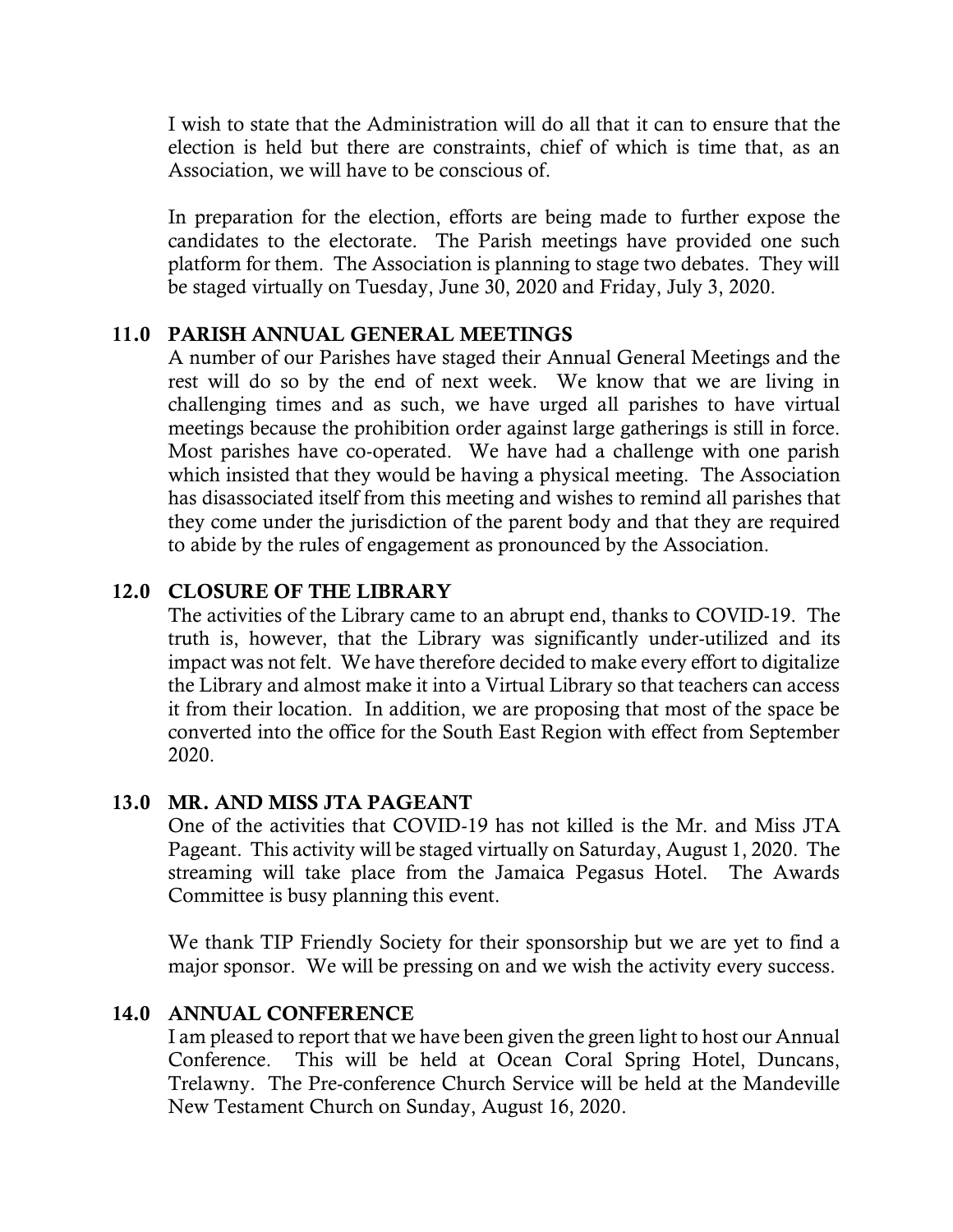I wish to state that the Administration will do all that it can to ensure that the election is held but there are constraints, chief of which is time that, as an Association, we will have to be conscious of.

In preparation for the election, efforts are being made to further expose the candidates to the electorate. The Parish meetings have provided one such platform for them. The Association is planning to stage two debates. They will be staged virtually on Tuesday, June 30, 2020 and Friday, July 3, 2020.

## 11.0 PARISH ANNUAL GENERAL MEETINGS

A number of our Parishes have staged their Annual General Meetings and the rest will do so by the end of next week. We know that we are living in challenging times and as such, we have urged all parishes to have virtual meetings because the prohibition order against large gatherings is still in force. Most parishes have co-operated. We have had a challenge with one parish which insisted that they would be having a physical meeting. The Association has disassociated itself from this meeting and wishes to remind all parishes that they come under the jurisdiction of the parent body and that they are required to abide by the rules of engagement as pronounced by the Association.

## 12.0 CLOSURE OF THE LIBRARY

The activities of the Library came to an abrupt end, thanks to COVID-19. The truth is, however, that the Library was significantly under-utilized and its impact was not felt. We have therefore decided to make every effort to digitalize the Library and almost make it into a Virtual Library so that teachers can access it from their location. In addition, we are proposing that most of the space be converted into the office for the South East Region with effect from September 2020.

#### 13.0 MR. AND MISS JTA PAGEANT

One of the activities that COVID-19 has not killed is the Mr. and Miss JTA Pageant. This activity will be staged virtually on Saturday, August 1, 2020. The streaming will take place from the Jamaica Pegasus Hotel. The Awards Committee is busy planning this event.

We thank TIP Friendly Society for their sponsorship but we are yet to find a major sponsor. We will be pressing on and we wish the activity every success.

#### 14.0 ANNUAL CONFERENCE

I am pleased to report that we have been given the green light to host our Annual Conference. This will be held at Ocean Coral Spring Hotel, Duncans, Trelawny. The Pre-conference Church Service will be held at the Mandeville New Testament Church on Sunday, August 16, 2020.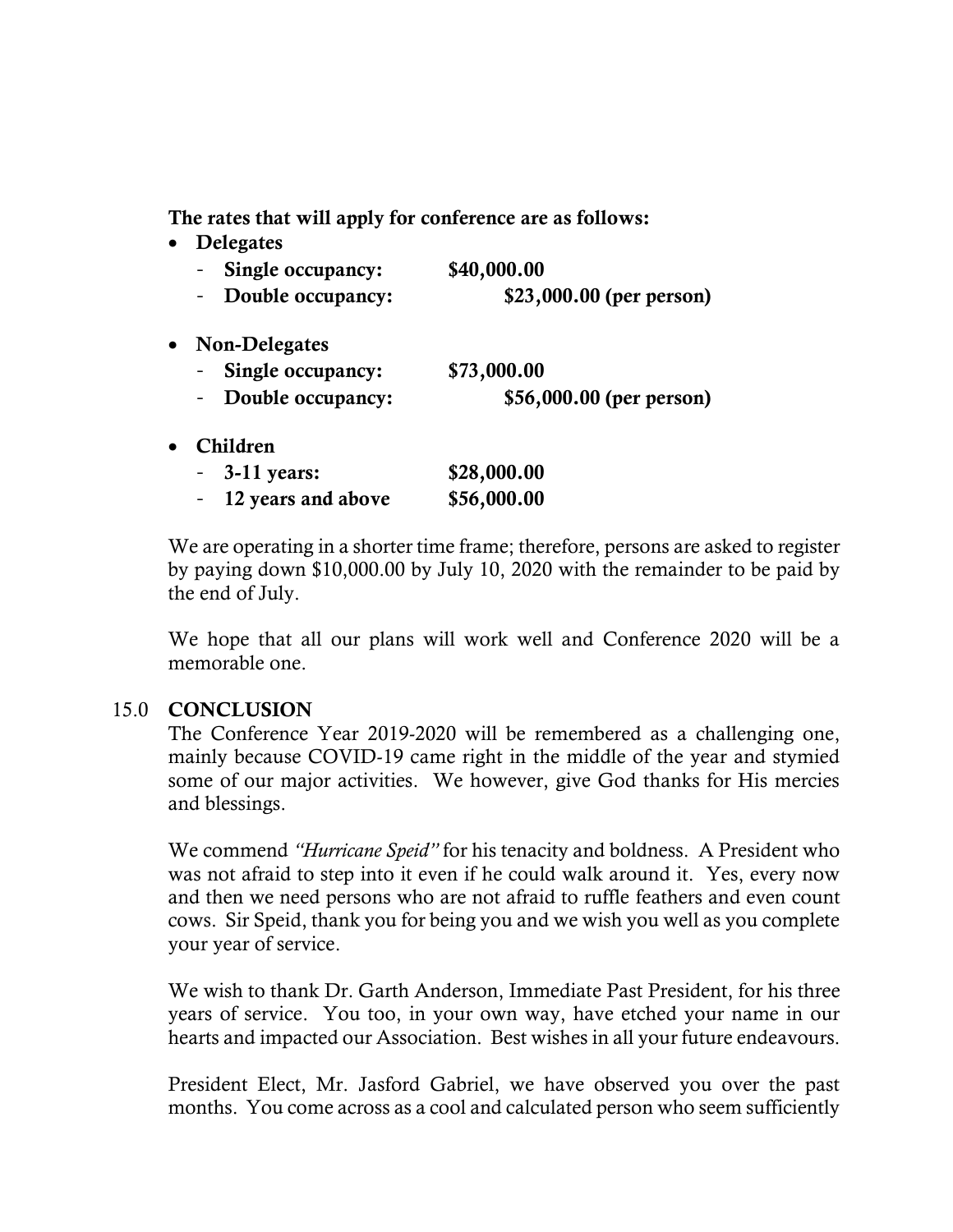The rates that will apply for conference are as follows:

|           | <b>Delegates</b>         |                          |
|-----------|--------------------------|--------------------------|
|           | Single occupancy:        | \$40,000.00              |
|           | Double occupancy:<br>Ξ.  | \$23,000.00 (per person) |
| $\bullet$ | <b>Non-Delegates</b>     |                          |
|           | Single occupancy:        | \$73,000.00              |
|           | Double occupancy:<br>$-$ | \$56,000.00 (per person) |
|           | Children                 |                          |
|           | $3-11$ years:            | \$28,000.00              |
|           | 12 years and above       | \$56,000.00              |

We are operating in a shorter time frame; therefore, persons are asked to register by paying down \$10,000.00 by July 10, 2020 with the remainder to be paid by the end of July.

We hope that all our plans will work well and Conference 2020 will be a memorable one.

#### 15.0 CONCLUSION

The Conference Year 2019-2020 will be remembered as a challenging one, mainly because COVID-19 came right in the middle of the year and stymied some of our major activities. We however, give God thanks for His mercies and blessings.

We commend *"Hurricane Speid"* for his tenacity and boldness. A President who was not afraid to step into it even if he could walk around it. Yes, every now and then we need persons who are not afraid to ruffle feathers and even count cows. Sir Speid, thank you for being you and we wish you well as you complete your year of service.

We wish to thank Dr. Garth Anderson, Immediate Past President, for his three years of service. You too, in your own way, have etched your name in our hearts and impacted our Association. Best wishes in all your future endeavours.

President Elect, Mr. Jasford Gabriel, we have observed you over the past months. You come across as a cool and calculated person who seem sufficiently